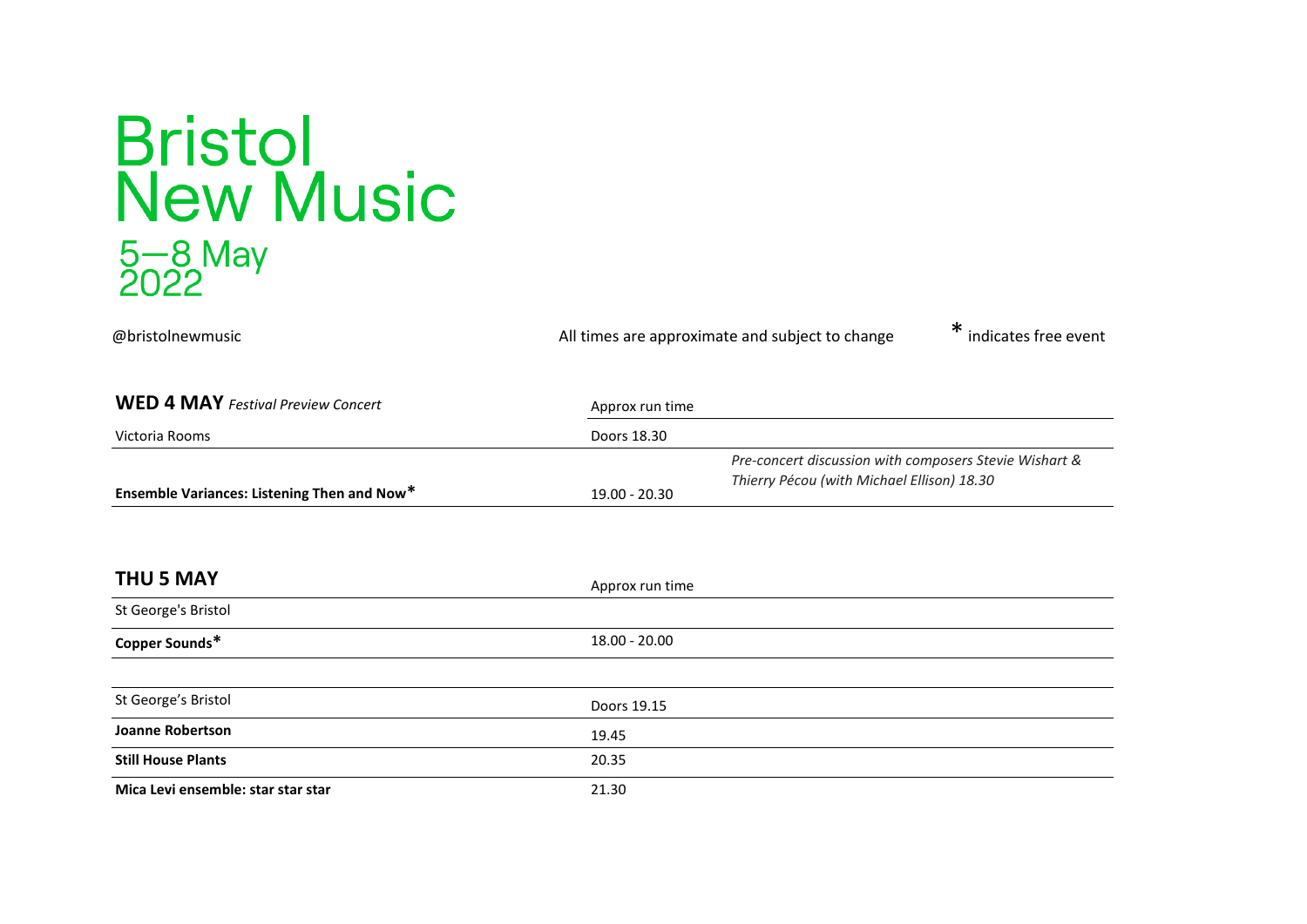## **Bristol<br>New Music** 5-8 May<br>2022

@bristolnewmusic All times are approximate and subject to change \* indicates free event **WED 4 MAY** *Festival Preview Concert* Approx run time Victoria Rooms Doors 18.30 **Ensemble Variances: Listening Then and Now<sup>\*</sup> 19.00 - 20.30** *Pre-concert discussion with composers Stevie Wishart & Thierry Pécou (with Michael Ellison) 18.30* **THU 5 MAY** Approx run time St George's Bristol **Copper Sounds\*** 18.00 - 20.00 St George's Bristol **Doors 19.15 Joanne Robertson** 19.45 **Still House Plants** 20.35 **Mica Levi ensemble: star star star 1988 1998 1998 1999 1999 1999 1999 1999 1999 1999 1999 1999 1999 1999 1999 1999 1999 1999 1999 1999 1999 1999 1999 1999 1999 1999 19**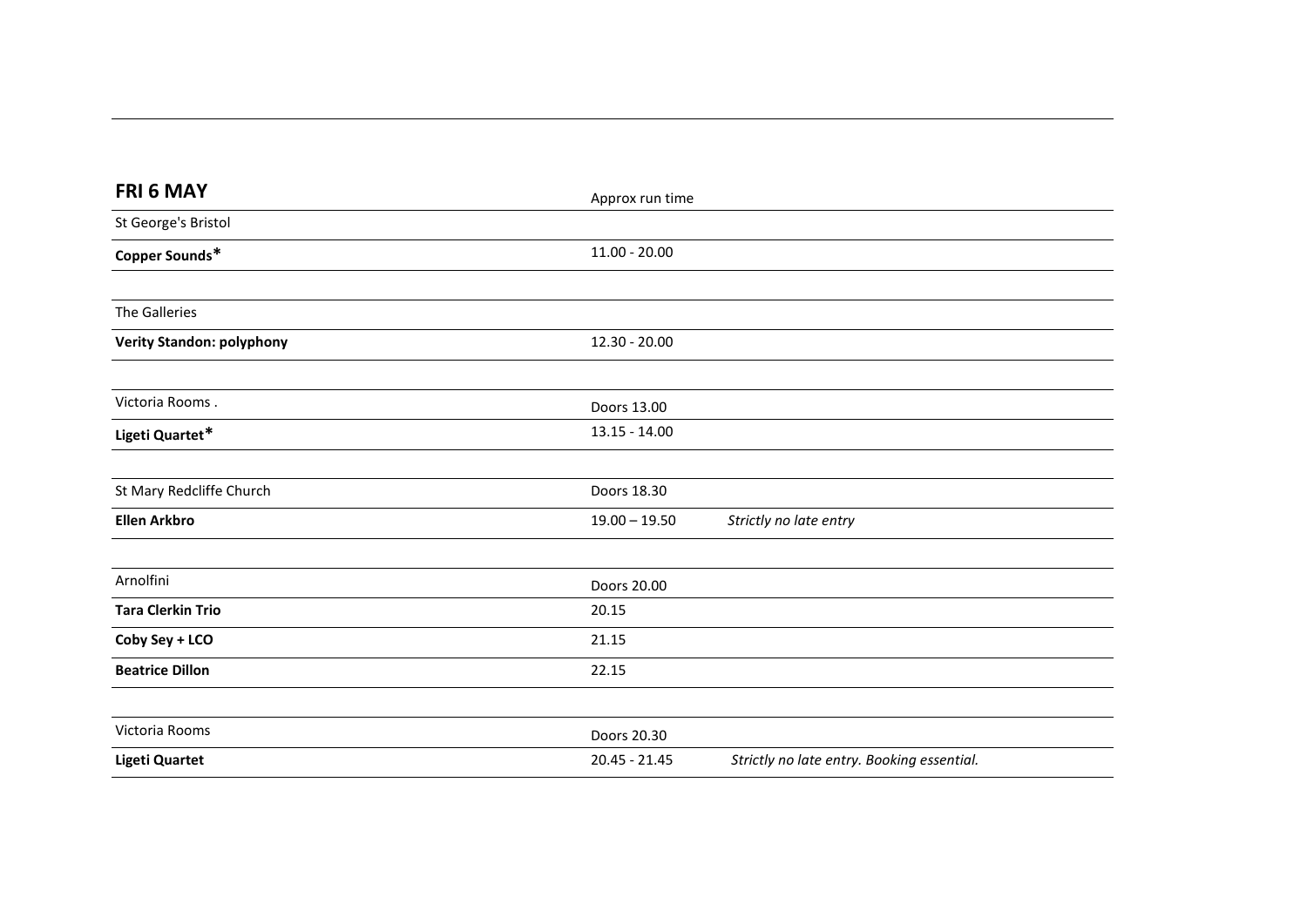| FRI 6 MAY                        | Approx run time |                                            |
|----------------------------------|-----------------|--------------------------------------------|
| St George's Bristol              |                 |                                            |
| Copper Sounds*                   | $11.00 - 20.00$ |                                            |
|                                  |                 |                                            |
| <b>The Galleries</b>             |                 |                                            |
| <b>Verity Standon: polyphony</b> | 12.30 - 20.00   |                                            |
|                                  |                 |                                            |
| Victoria Rooms.                  | Doors 13.00     |                                            |
| Ligeti Quartet*                  | $13.15 - 14.00$ |                                            |
|                                  |                 |                                            |
| St Mary Redcliffe Church         | Doors 18.30     |                                            |
| <b>Ellen Arkbro</b>              | $19.00 - 19.50$ | Strictly no late entry                     |
|                                  |                 |                                            |
| Arnolfini                        | Doors 20.00     |                                            |
| <b>Tara Clerkin Trio</b>         | 20.15           |                                            |
| Coby Sey + LCO                   | 21.15           |                                            |
| <b>Beatrice Dillon</b>           | 22.15           |                                            |
|                                  |                 |                                            |
| Victoria Rooms                   | Doors 20.30     |                                            |
| <b>Ligeti Quartet</b>            | 20.45 - 21.45   | Strictly no late entry. Booking essential. |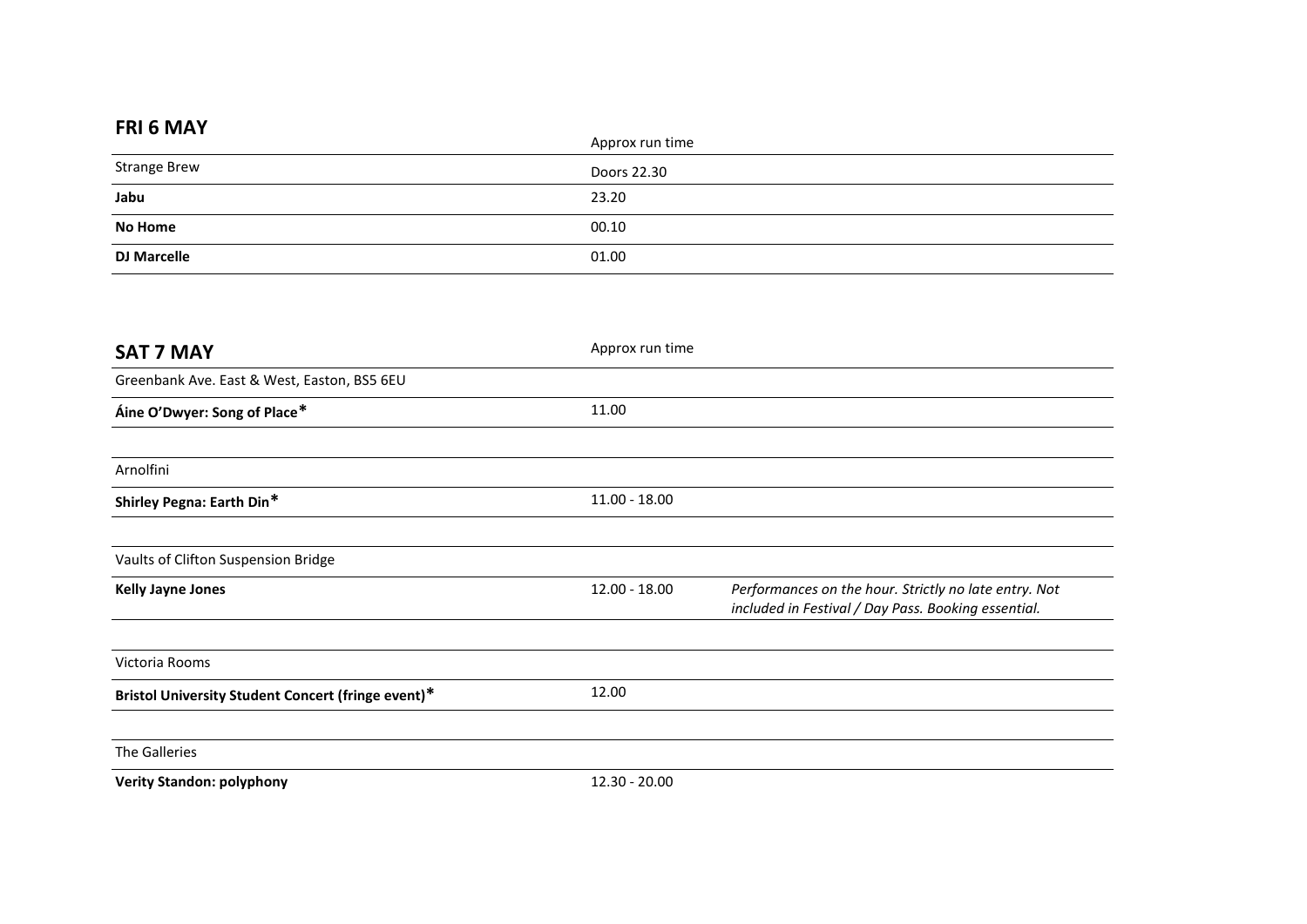## **FRI 6 MAY**

|                                                    | Approx run time |
|----------------------------------------------------|-----------------|
| <b>Strange Brew</b><br>$\overbrace{\hspace{25mm}}$ | Doors 22.30     |
| Jabu                                               | 23.20           |
| <b>No Home</b>                                     | 00.10           |
| <b>DJ Marcelle</b>                                 | 01.00           |

| <b>SAT 7 MAY</b>                                   | Approx run time |                                                                                                              |
|----------------------------------------------------|-----------------|--------------------------------------------------------------------------------------------------------------|
| Greenbank Ave. East & West, Easton, BS5 6EU        |                 |                                                                                                              |
| Áine O'Dwyer: Song of Place*                       | 11.00           |                                                                                                              |
|                                                    |                 |                                                                                                              |
| Arnolfini                                          |                 |                                                                                                              |
| Shirley Pegna: Earth Din*                          | $11.00 - 18.00$ |                                                                                                              |
|                                                    |                 |                                                                                                              |
| Vaults of Clifton Suspension Bridge                |                 |                                                                                                              |
| <b>Kelly Jayne Jones</b>                           | 12.00 - 18.00   | Performances on the hour. Strictly no late entry. Not<br>included in Festival / Day Pass. Booking essential. |
|                                                    |                 |                                                                                                              |
| Victoria Rooms                                     |                 |                                                                                                              |
| Bristol University Student Concert (fringe event)* | 12.00           |                                                                                                              |
| The Galleries                                      |                 |                                                                                                              |
| <b>Verity Standon: polyphony</b>                   | 12.30 - 20.00   |                                                                                                              |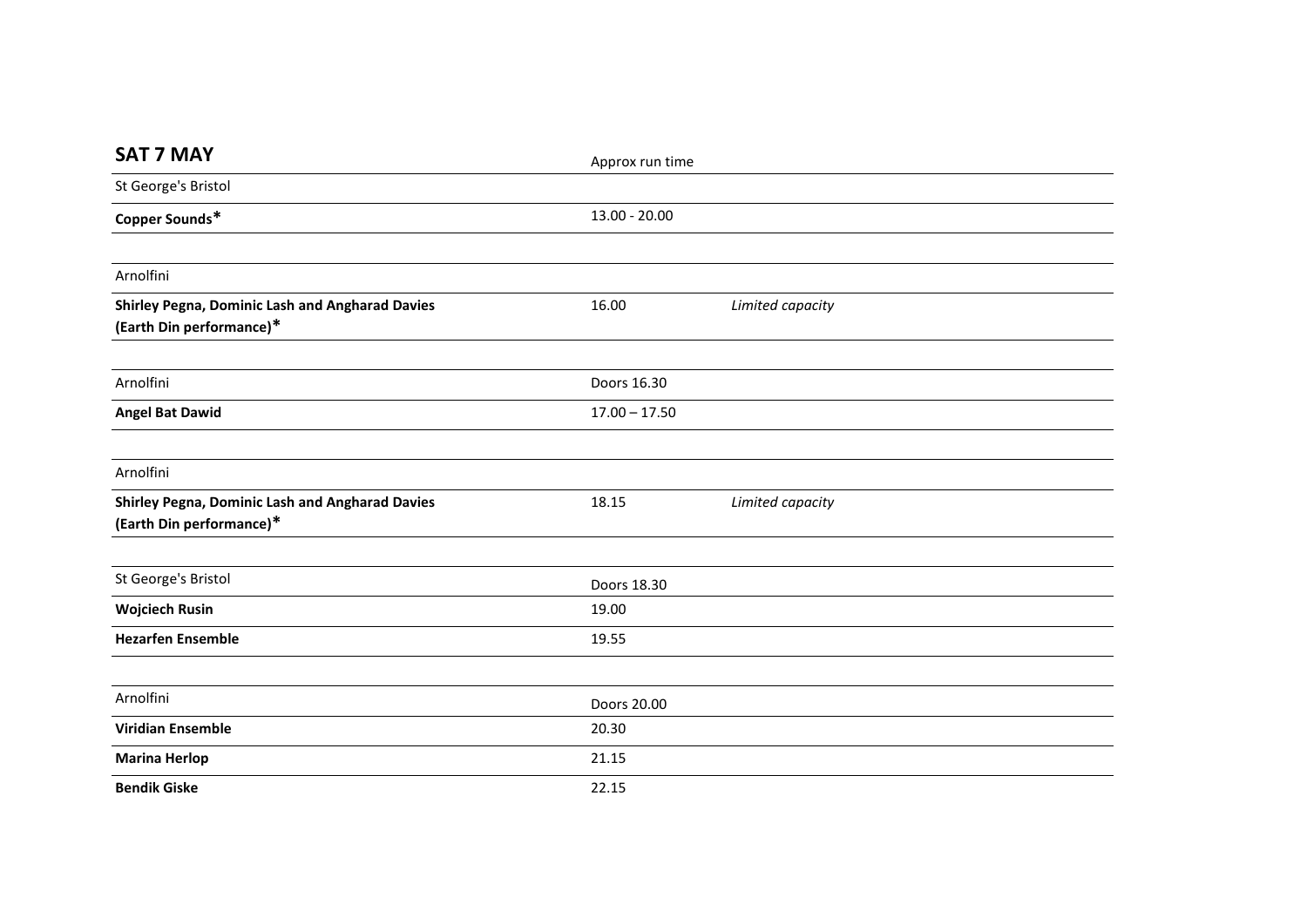| <b>SAT 7 MAY</b>                                                                   | Approx run time |                  |  |
|------------------------------------------------------------------------------------|-----------------|------------------|--|
| St George's Bristol                                                                |                 |                  |  |
| Copper Sounds*                                                                     | $13.00 - 20.00$ |                  |  |
|                                                                                    |                 |                  |  |
| Arnolfini                                                                          |                 |                  |  |
| <b>Shirley Pegna, Dominic Lash and Angharad Davies</b><br>(Earth Din performance)* | 16.00           | Limited capacity |  |
|                                                                                    |                 |                  |  |
| Arnolfini                                                                          | Doors 16.30     |                  |  |
| <b>Angel Bat Dawid</b>                                                             | $17.00 - 17.50$ |                  |  |
|                                                                                    |                 |                  |  |
| Arnolfini                                                                          |                 |                  |  |
| <b>Shirley Pegna, Dominic Lash and Angharad Davies</b><br>(Earth Din performance)* | 18.15           | Limited capacity |  |
|                                                                                    |                 |                  |  |
| St George's Bristol                                                                | Doors 18.30     |                  |  |
| <b>Wojciech Rusin</b>                                                              | 19.00           |                  |  |
| <b>Hezarfen Ensemble</b>                                                           | 19.55           |                  |  |
|                                                                                    |                 |                  |  |
| Arnolfini                                                                          | Doors 20.00     |                  |  |
| <b>Viridian Ensemble</b>                                                           | 20.30           |                  |  |
| <b>Marina Herlop</b>                                                               | 21.15           |                  |  |
| <b>Bendik Giske</b>                                                                | 22.15           |                  |  |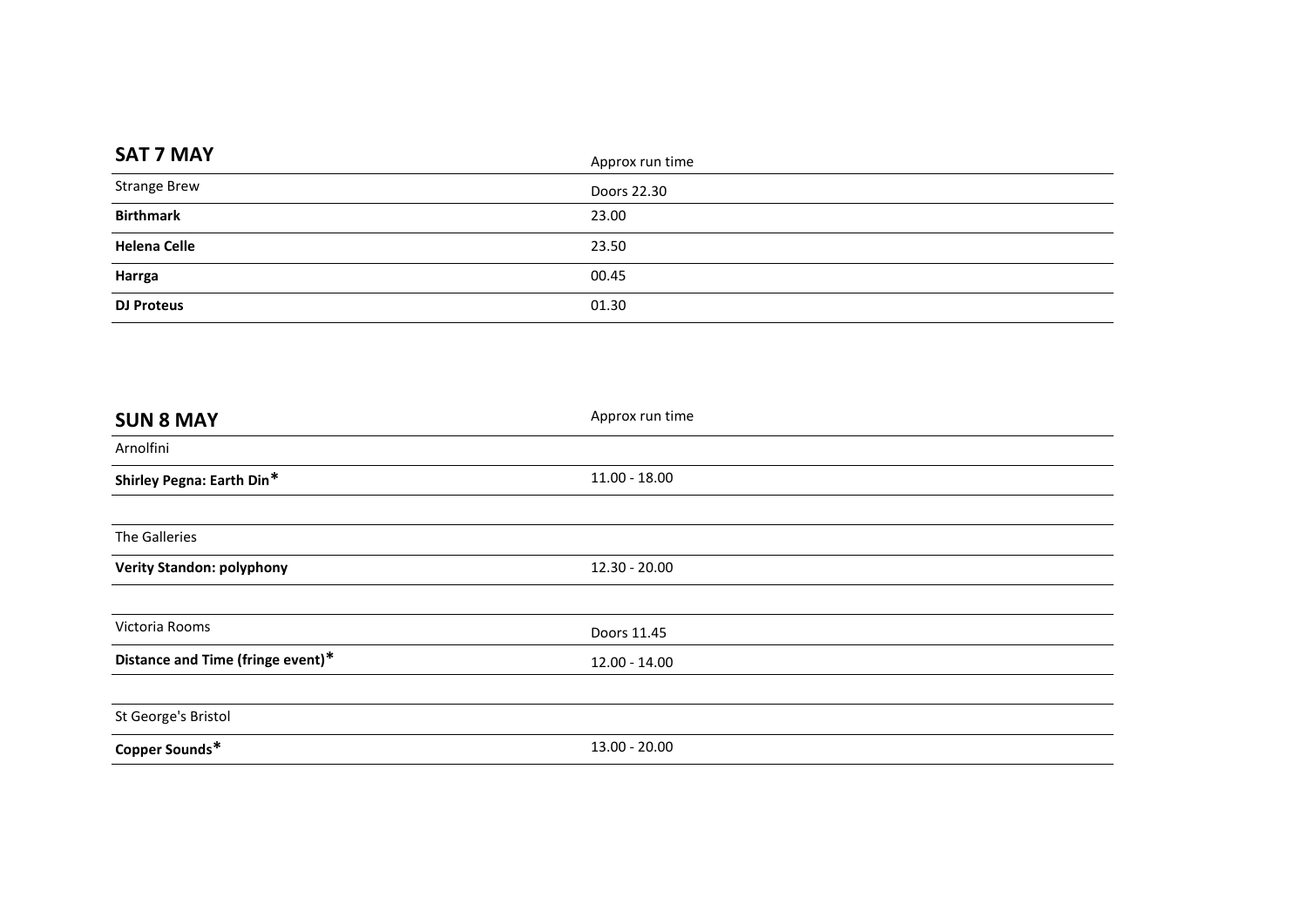| <b>SAT 7 MAY</b>    | Approx run time |
|---------------------|-----------------|
| <b>Strange Brew</b> | Doors 22.30     |
| <b>Birthmark</b>    | 23.00           |
| <b>Helena Celle</b> | 23.50           |
| Harrga              | 00.45           |
| <b>DJ Proteus</b>   | 01.30           |

| <b>SUN 8 MAY</b>                  | Approx run time |  |
|-----------------------------------|-----------------|--|
| Arnolfini                         |                 |  |
| Shirley Pegna: Earth Din*         | $11.00 - 18.00$ |  |
|                                   |                 |  |
| The Galleries                     |                 |  |
| <b>Verity Standon: polyphony</b>  | $12.30 - 20.00$ |  |
|                                   |                 |  |
| Victoria Rooms                    | Doors 11.45     |  |
| Distance and Time (fringe event)* | 12.00 - 14.00   |  |
|                                   |                 |  |
| St George's Bristol               |                 |  |
| Copper Sounds*                    | $13.00 - 20.00$ |  |